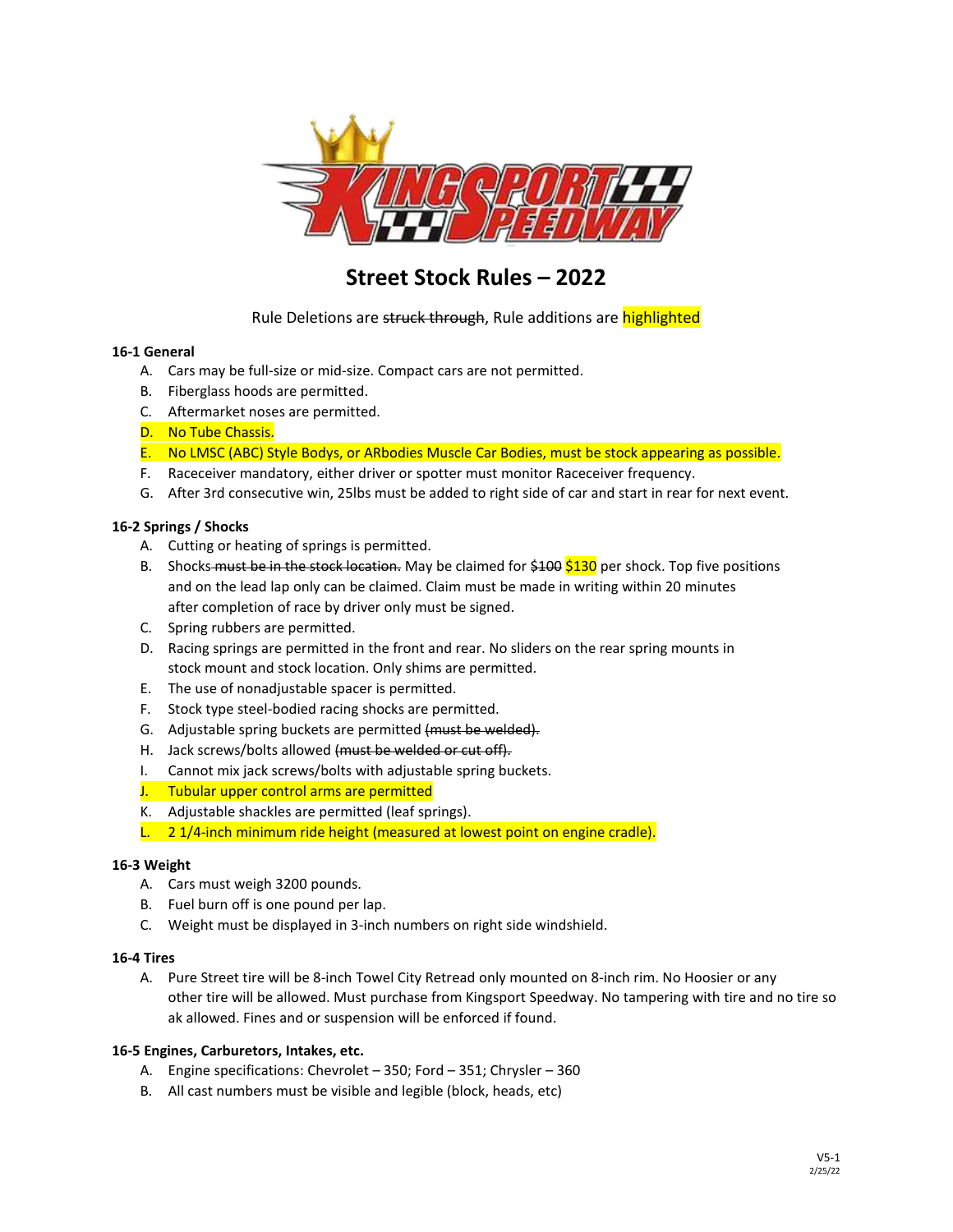

# **Street Stock Rules – 2022**

Rule Deletions are struck through, Rule additions are highlighted

## **16‐1 General**

- A. Cars may be full‐size or mid‐size. Compact cars are not permitted.
- B. Fiberglass hoods are permitted.
- C. Aftermarket noses are permitted.
- D. No Tube Chassis.
- E. No LMSC (ABC) Style Bodys, or ARbodies Muscle Car Bodies, must be stock appearing as possible.
- F. Raceceiver mandatory, either driver or spotter must monitor Raceceiver frequency.
- G. After 3rd consecutive win, 25lbs must be added to right side of car and start in rear for next event.

## **16‐2 Springs / Shocks**

- A. Cutting or heating of springs is permitted.
- B. Shocks must be in the stock location. May be claimed for  $\frac{100}{5130}$  per shock. Top five positions and on the lead lap only can be claimed. Claim must be made in writing within 20 minutes after completion of race by driver only must be signed.
- C. Spring rubbers are permitted.
- D. Racing springs are permitted in the front and rear. No sliders on the rear spring mounts in stock mount and stock location. Only shims are permitted.
- E. The use of nonadjustable spacer is permitted.
- F. Stock type steel‐bodied racing shocks are permitted.
- G. Adjustable spring buckets are permitted (must be welded).
- H. Jack screws/bolts allowed (must be welded or cut off).
- I. Cannot mix jack screws/bolts with adjustable spring buckets.
- J. Tubular upper control arms are permitted
- K. Adjustable shackles are permitted (leaf springs).
- L. 2 1/4-inch minimum ride height (measured at lowest point on engine cradle).

## **16‐3 Weight**

- A. Cars must weigh 3200 pounds.
- B. Fuel burn off is one pound per lap.
- C. Weight must be displayed in 3-inch numbers on right side windshield.

## **16‐4 Tires**

A. Pure Street tire will be 8-inch Towel City Retread only mounted on 8-inch rim. No Hoosier or any other tire will be allowed. Must purchase from Kingsport Speedway. No tampering with tire and no tire so ak allowed. Fines and or suspension will be enforced if found.

## **16‐5 Engines, Carburetors, Intakes, etc.**

- A. Engine specifications: Chevrolet 350; Ford 351; Chrysler 360
- B. All cast numbers must be visible and legible (block, heads, etc)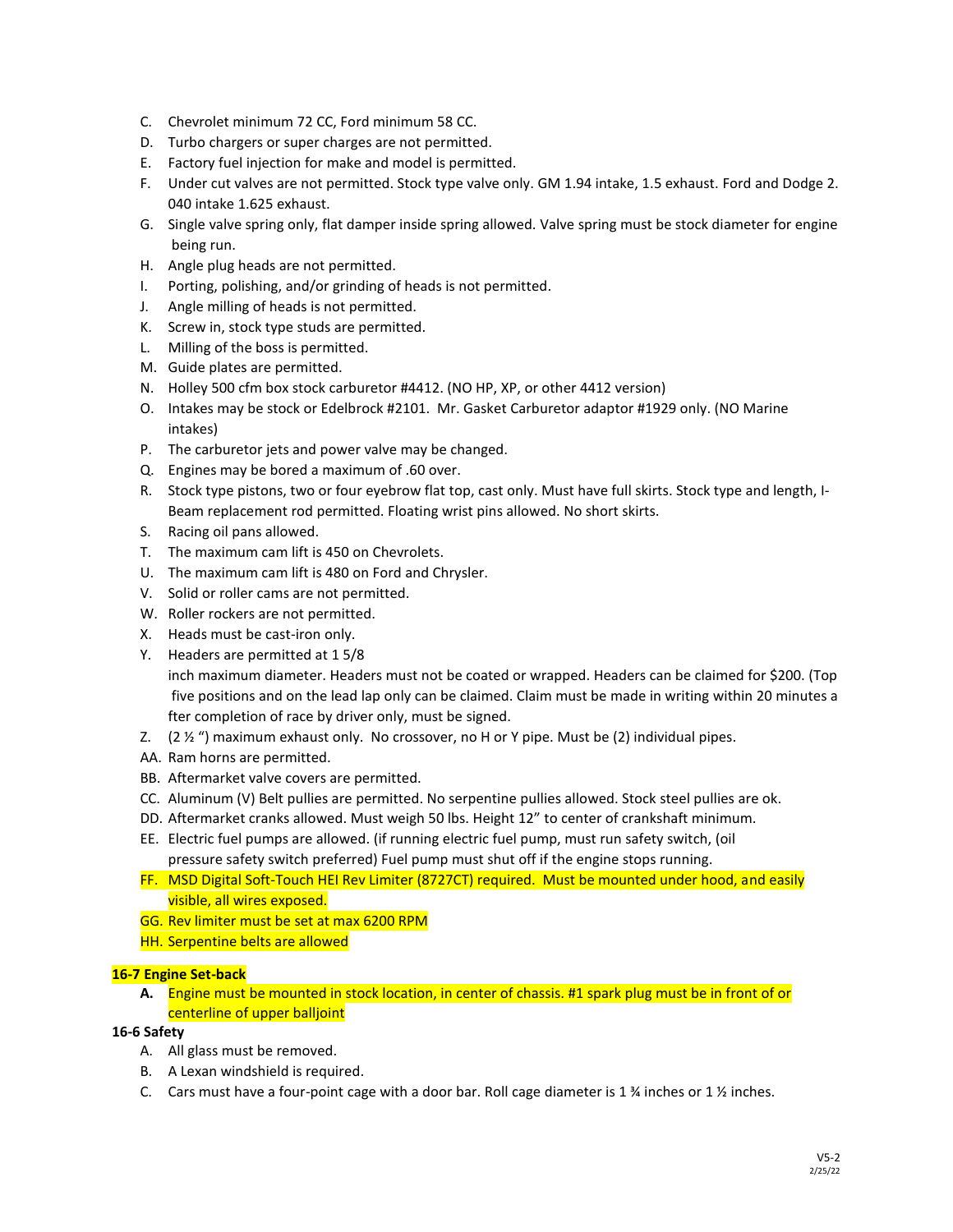- C. Chevrolet minimum 72 CC, Ford minimum 58 CC.
- D. Turbo chargers or super charges are not permitted.
- E. Factory fuel injection for make and model is permitted.
- F. Under cut valves are not permitted. Stock type valve only. GM 1.94 intake, 1.5 exhaust. Ford and Dodge 2. 040 intake 1.625 exhaust.
- G. Single valve spring only, flat damper inside spring allowed. Valve spring must be stock diameter for engine being run.
- H. Angle plug heads are not permitted.
- I. Porting, polishing, and/or grinding of heads is not permitted.
- J. Angle milling of heads is not permitted.
- K. Screw in, stock type studs are permitted.
- L. Milling of the boss is permitted.
- M. Guide plates are permitted.
- N. Holley 500 cfm box stock carburetor #4412. (NO HP, XP, or other 4412 version)
- O. Intakes may be stock or Edelbrock #2101. Mr. Gasket Carburetor adaptor #1929 only. (NO Marine intakes)
- P. The carburetor jets and power valve may be changed.
- Q. Engines may be bored a maximum of .60 over.
- R. Stock type pistons, two or four eyebrow flat top, cast only. Must have full skirts. Stock type and length, I-Beam replacement rod permitted. Floating wrist pins allowed. No short skirts.
- S. Racing oil pans allowed.
- T. The maximum cam lift is 450 on Chevrolets.
- U. The maximum cam lift is 480 on Ford and Chrysler.
- V. Solid or roller cams are not permitted.
- W. Roller rockers are not permitted.
- X. Heads must be cast‐iron only.
- Y. Headers are permitted at 1 5/8

inch maximum diameter. Headers must not be coated or wrapped. Headers can be claimed for \$200. (Top five positions and on the lead lap only can be claimed. Claim must be made in writing within 20 minutes a fter completion of race by driver only, must be signed.

- Z.  $(2 \frac{1}{2} \frac{1}{2})$  maximum exhaust only. No crossover, no H or Y pipe. Must be  $(2)$  individual pipes.
- AA. Ram horns are permitted.
- BB. Aftermarket valve covers are permitted.
- CC. Aluminum (V) Belt pullies are permitted. No serpentine pullies allowed. Stock steel pullies are ok.
- DD. Aftermarket cranks allowed. Must weigh 50 lbs. Height 12" to center of crankshaft minimum.
- EE. Electric fuel pumps are allowed. (if running electric fuel pump, must run safety switch, (oil pressure safety switch preferred) Fuel pump must shut off if the engine stops running.
- FF. MSD Digital Soft-Touch HEI Rev Limiter (8727CT) required. Must be mounted under hood, and easily visible, all wires exposed.
- GG. Rev limiter must be set at max 6200 RPM
- HH. Serpentine belts are allowed

# **16‐7 Engine Set-back**

**A.** Engine must be mounted in stock location, in center of chassis. #1 spark plug must be in front of or centerline of upper balljoint

# **16‐6 Safety**

- A. All glass must be removed.
- B. A Lexan windshield is required.
- C. Cars must have a four-point cage with a door bar. Roll cage diameter is 1  $\frac{1}{2}$  inches or 1  $\frac{1}{2}$  inches.